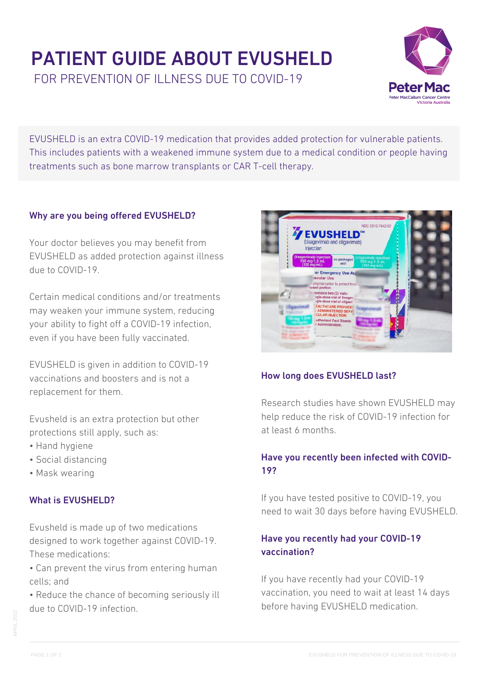# PATIENT GUIDE ABOUT EVUSHELD FOR PREVENTION OF ILLNESS DUE TO COVID-19



EVUSHELD is an extra COVID-19 medication that provides added protection for vulnerable patients. This includes patients with a weakened immune system due to a medical condition or people having treatments such as bone marrow transplants or CAR T-cell therapy.

## Why are you being offered EVUSHELD?

Your doctor believes you may benefit from EVUSHELD as added protection against illness due to COVID-19.

Certain medical conditions and/or treatments may weaken your immune system, reducing your ability to fight off a COVID-19 infection, even if you have been fully vaccinated.

EVUSHELD is given in addition to COVID-19 vaccinations and boosters and is not a replacement for them.

Evusheld is an extra protection but other protections still apply, such as:

- Hand hygiene
- Social distancing
- Mask wearing

### What is EVUSHELD?

Evusheld is made up of two medications designed to work together against COVID-19. These medications:

- Can prevent the virus from entering human cells; and
- Reduce the chance of becoming seriously ill due to COVID-19 infection.



## How long does EVUSHELD last?

Research studies have shown EVUSHELD may help reduce the risk of COVID-19 infection for at least 6 months.

## Have you recently been infected with COVID-19?

If you have tested positive to COVID-19, you need to wait 30 days before having EVUSHELD.

## Have you recently had your COVID-19 vaccination?

If you have recently had your COVID-19 vaccination, you need to wait at least 14 days before having EVUSHELD medication.